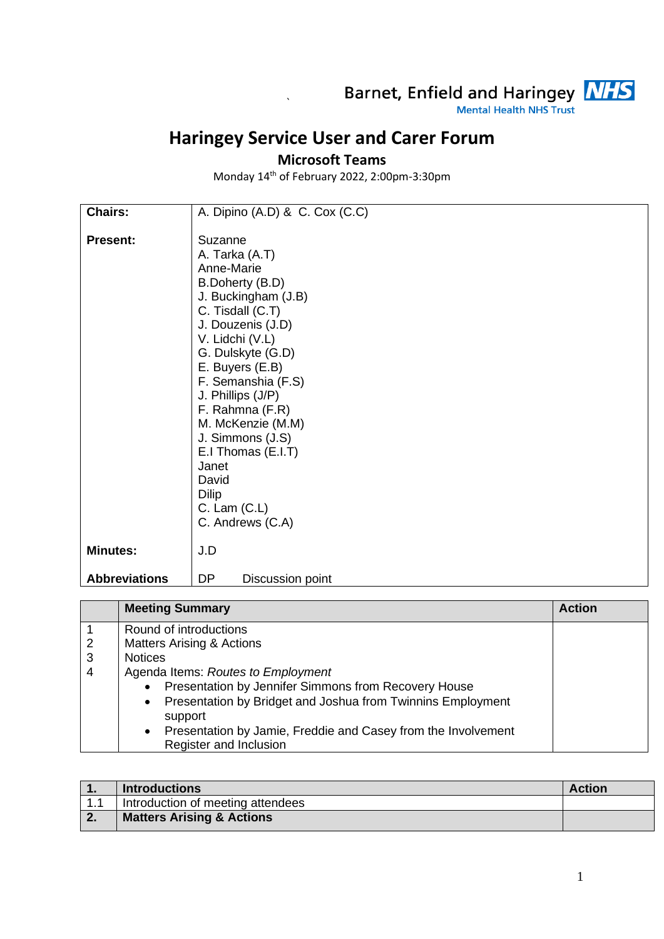

## **Haringey Service User and Carer Forum**

`

## **Microsoft Teams**

Monday 14 th of February 2022, 2:00pm-3:30pm

| Chairs:              | A. Dipino (A.D) & C. Cox (C.C) |
|----------------------|--------------------------------|
|                      |                                |
| <b>Present:</b>      | Suzanne                        |
|                      | A. Tarka (A.T)                 |
|                      | Anne-Marie                     |
|                      | B.Doherty (B.D)                |
|                      | J. Buckingham (J.B)            |
|                      | C. Tisdall (C.T)               |
|                      | J. Douzenis (J.D)              |
|                      | V. Lidchi (V.L)                |
|                      | G. Dulskyte (G.D)              |
|                      | E. Buyers (E.B)                |
|                      | F. Semanshia (F.S)             |
|                      | J. Phillips (J/P)              |
|                      | F. Rahmna (F.R)                |
|                      | M. McKenzie (M.M)              |
|                      | J. Simmons (J.S)               |
|                      | E.I Thomas (E.I.T)             |
|                      | Janet                          |
|                      | David                          |
|                      | <b>Dilip</b>                   |
|                      | $C.$ Lam $(C.L)$               |
|                      | C. Andrews (C.A)               |
| <b>Minutes:</b>      | J.D                            |
|                      |                                |
| <b>Abbreviations</b> | <b>DP</b><br>Discussion point  |

|                | <b>Meeting Summary</b>                                                                               | <b>Action</b> |
|----------------|------------------------------------------------------------------------------------------------------|---------------|
|                | Round of introductions                                                                               |               |
| $\overline{2}$ | <b>Matters Arising &amp; Actions</b>                                                                 |               |
| 3              | <b>Notices</b>                                                                                       |               |
| 4              | Agenda Items: Routes to Employment                                                                   |               |
|                | Presentation by Jennifer Simmons from Recovery House                                                 |               |
|                | Presentation by Bridget and Joshua from Twinnins Employment<br>$\bullet$<br>support                  |               |
|                | Presentation by Jamie, Freddie and Casey from the Involvement<br>$\bullet$<br>Register and Inclusion |               |

| . .  | <b>Introductions</b>                 | <b>Action</b> |
|------|--------------------------------------|---------------|
| -1-1 | Introduction of meeting attendees    |               |
| ົາ   | <b>Matters Arising &amp; Actions</b> |               |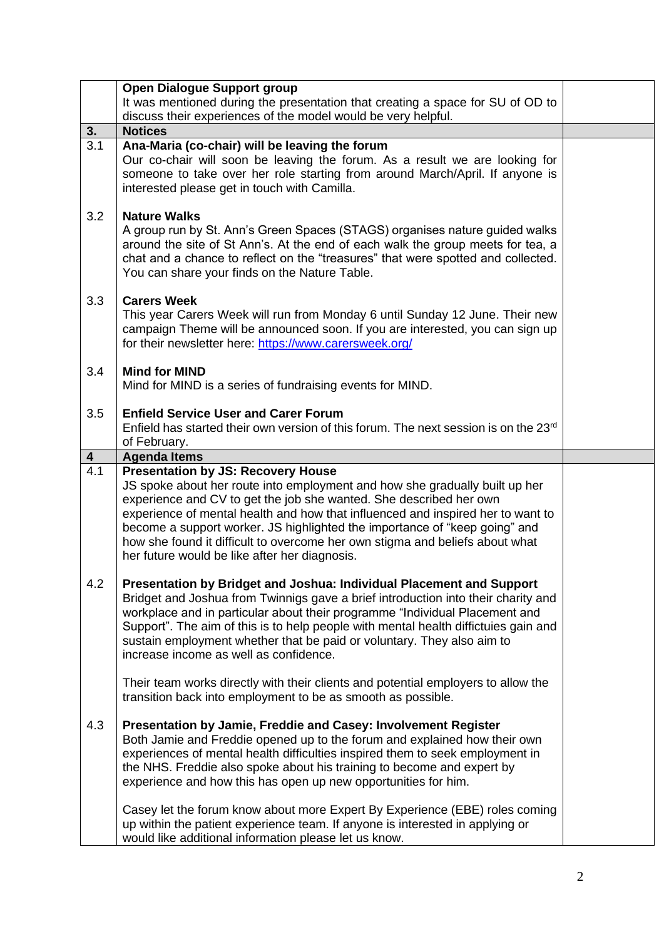|                  | <b>Open Dialogue Support group</b>                                                                                                                                                                                                                                                                                                                                                                                                                                                                                                                                                                       |  |
|------------------|----------------------------------------------------------------------------------------------------------------------------------------------------------------------------------------------------------------------------------------------------------------------------------------------------------------------------------------------------------------------------------------------------------------------------------------------------------------------------------------------------------------------------------------------------------------------------------------------------------|--|
|                  | It was mentioned during the presentation that creating a space for SU of OD to                                                                                                                                                                                                                                                                                                                                                                                                                                                                                                                           |  |
|                  | discuss their experiences of the model would be very helpful.                                                                                                                                                                                                                                                                                                                                                                                                                                                                                                                                            |  |
| 3.               | <b>Notices</b>                                                                                                                                                                                                                                                                                                                                                                                                                                                                                                                                                                                           |  |
| 3.1              | Ana-Maria (co-chair) will be leaving the forum<br>Our co-chair will soon be leaving the forum. As a result we are looking for<br>someone to take over her role starting from around March/April. If anyone is<br>interested please get in touch with Camilla.                                                                                                                                                                                                                                                                                                                                            |  |
| 3.2              | <b>Nature Walks</b><br>A group run by St. Ann's Green Spaces (STAGS) organises nature guided walks<br>around the site of St Ann's. At the end of each walk the group meets for tea, a<br>chat and a chance to reflect on the "treasures" that were spotted and collected.<br>You can share your finds on the Nature Table.                                                                                                                                                                                                                                                                               |  |
| 3.3              | <b>Carers Week</b><br>This year Carers Week will run from Monday 6 until Sunday 12 June. Their new<br>campaign Theme will be announced soon. If you are interested, you can sign up<br>for their newsletter here: https://www.carersweek.org/                                                                                                                                                                                                                                                                                                                                                            |  |
| 3.4              | <b>Mind for MIND</b><br>Mind for MIND is a series of fundraising events for MIND.                                                                                                                                                                                                                                                                                                                                                                                                                                                                                                                        |  |
| 3.5              | <b>Enfield Service User and Carer Forum</b><br>Enfield has started their own version of this forum. The next session is on the 23rd<br>of February.                                                                                                                                                                                                                                                                                                                                                                                                                                                      |  |
| $\boldsymbol{4}$ | <b>Agenda Items</b>                                                                                                                                                                                                                                                                                                                                                                                                                                                                                                                                                                                      |  |
| 4.1              | <b>Presentation by JS: Recovery House</b><br>JS spoke about her route into employment and how she gradually built up her<br>experience and CV to get the job she wanted. She described her own<br>experience of mental health and how that influenced and inspired her to want to<br>become a support worker. JS highlighted the importance of "keep going" and<br>how she found it difficult to overcome her own stigma and beliefs about what<br>her future would be like after her diagnosis.                                                                                                         |  |
| 4.2              | Presentation by Bridget and Joshua: Individual Placement and Support<br>Bridget and Joshua from Twinnigs gave a brief introduction into their charity and<br>workplace and in particular about their programme "Individual Placement and<br>Support". The aim of this is to help people with mental health diffictuies gain and<br>sustain employment whether that be paid or voluntary. They also aim to<br>increase income as well as confidence.<br>Their team works directly with their clients and potential employers to allow the<br>transition back into employment to be as smooth as possible. |  |
| 4.3              | Presentation by Jamie, Freddie and Casey: Involvement Register<br>Both Jamie and Freddie opened up to the forum and explained how their own<br>experiences of mental health difficulties inspired them to seek employment in<br>the NHS. Freddie also spoke about his training to become and expert by<br>experience and how this has open up new opportunities for him.<br>Casey let the forum know about more Expert By Experience (EBE) roles coming                                                                                                                                                  |  |
|                  | up within the patient experience team. If anyone is interested in applying or<br>would like additional information please let us know.                                                                                                                                                                                                                                                                                                                                                                                                                                                                   |  |